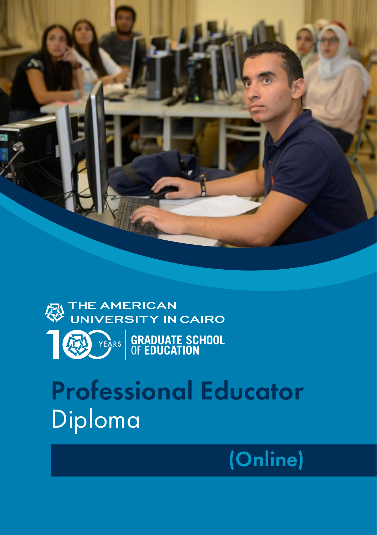



# Professional Educator Diploma

## (Online)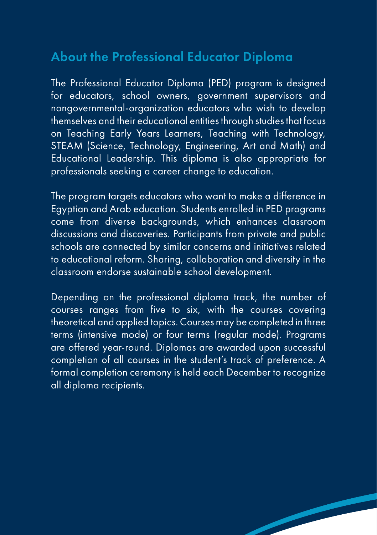## About the Professional Educator Diploma

The Professional Educator Diploma (PED) program is designed for educators, school owners, government supervisors and nongovernmental-organization educators who wish to develop themselves and their educational entities through studies that focus on Teaching Early Years Learners, Teaching with Technology, STEAM (Science, Technology, Engineering, Art and Math) and Educational Leadership. This diploma is also appropriate for professionals seeking a career change to education.

The program targets educators who want to make a difference in Egyptian and Arab education. Students enrolled in PED programs come from diverse backgrounds, which enhances classroom discussions and discoveries. Participants from private and public schools are connected by similar concerns and initiatives related to educational reform. Sharing, collaboration and diversity in the classroom endorse sustainable school development.

Depending on the professional diploma track, the number of courses ranges from five to six, with the courses covering theoretical and applied topics. Courses may be completed in three terms (intensive mode) or four terms (regular mode). Programs are offered year-round. Diplomas are awarded upon successful completion of all courses in the student's track of preference. A formal completion ceremony is held each December to recognize all diploma recipients.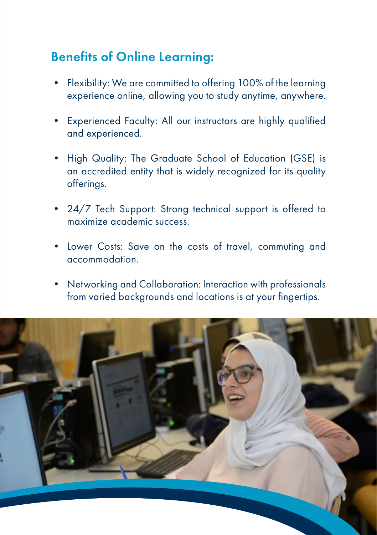## Benefits of Online Learning:

- Flexibility: We are committed to offering 100% of the learning experience online, allowing you to study anytime, anywhere.
- Experienced Faculty: All our instructors are highly qualified and experienced.
- High Quality: The Graduate School of Education (GSE) is an accredited entity that is widely recognized for its quality offerings.
- 24/7 Tech Support: Strong technical support is offered to maximize academic success.
- Lower Costs: Save on the costs of travel, commuting and accommodation.
- Networking and Collaboration: Interaction with professionals from varied backgrounds and locations is at your fingertips.

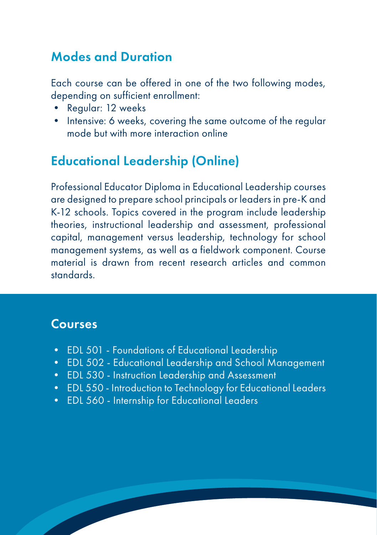## Modes and Duration

Each course can be offered in one of the two following modes, depending on sufficient enrollment:

- Regular: 12 weeks
- Intensive: 6 weeks, covering the same outcome of the regular mode but with more interaction online

## Educational Leadership (Online)

Professional Educator Diploma in Educational Leadership courses are designed to prepare school principals or leaders in pre-K and K-12 schools. Topics covered in the program include leadership theories, instructional leadership and assessment, professional capital, management versus leadership, technology for school management systems, as well as a fieldwork component. Course material is drawn from recent research articles and common standards.

### Courses

- EDL 501 Foundations of Educational Leadership
- EDL 502 Educational Leadership and School Management
- EDL 530 Instruction Leadership and Assessment
- EDL 550 Introduction to Technology for Educational Leaders
- EDL 560 Internship for Educational Leaders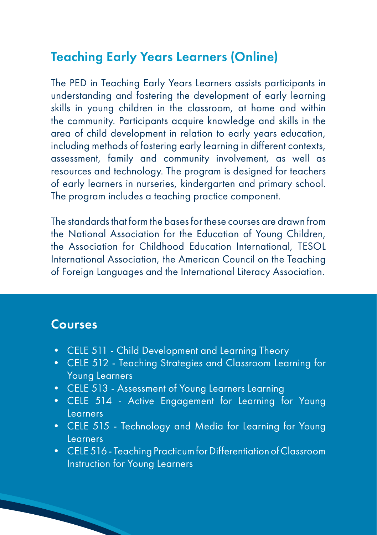## Teaching Early Years Learners (Online)

The PED in Teaching Early Years Learners assists participants in understanding and fostering the development of early learning skills in young children in the classroom, at home and within the community. Participants acquire knowledge and skills in the area of child development in relation to early years education, including methods of fostering early learning in different contexts, assessment, family and community involvement, as well as resources and technology. The program is designed for teachers of early learners in nurseries, kindergarten and primary school. The program includes a teaching practice component.

The standards that form the bases for these courses are drawn from the National Association for the Education of Young Children, the Association for Childhood Education International, TESOL International Association, the American Council on the Teaching of Foreign Languages and the International Literacy Association.

#### Courses

- CELE 511 Child Development and Learning Theory
- CELE 512 Teaching Strategies and Classroom Learning for Young Learners
- CELE 513 Assessment of Young Learners Learning
- CELE 514 Active Engagement for Learning for Young Learners
- CELE 515 Technology and Media for Learning for Young Learners
- CELE 516 Teaching Practicum for Differentiation of Classroom Instruction for Young Learners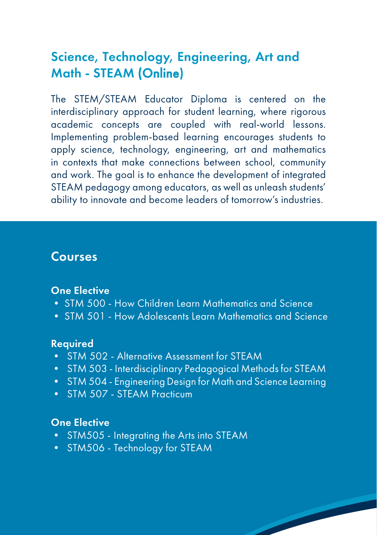## Science, Technology, Engineering, Art and Math - STEAM (Online)

The STEM/STEAM Educator Diploma is centered on the interdisciplinary approach for student learning, where rigorous academic concepts are coupled with real-world lessons. Implementing problem-based learning encourages students to apply science, technology, engineering, art and mathematics in contexts that make connections between school, community and work. The goal is to enhance the development of integrated STEAM pedagogy among educators, as well as unleash students' ability to innovate and become leaders of tomorrow's industries.

#### Courses

#### One Elective

- STM 500 How Children Learn Mathematics and Science
- STM 501 How Adolescents Learn Mathematics and Science

#### Required

- STM 502 Alternative Assessment for STEAM
- STM 503 Interdisciplinary Pedagogical Methods for STEAM
- STM 504 Engineering Design for Math and Science Learning
- STM 507 STEAM Practicum

#### One Elective

- STM505 Integrating the Arts into STEAM
- STM506 Technology for STEAM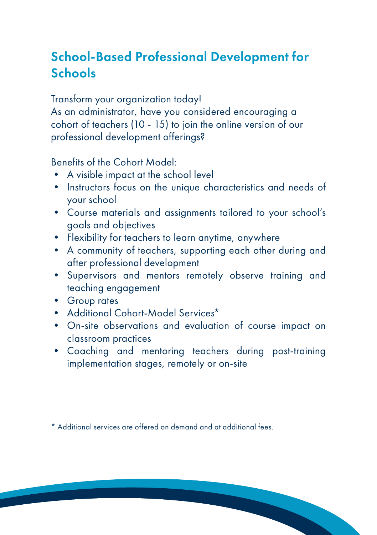## School-Based Professional Development for **Schools**

Transform your organization today!

As an administrator, have you considered encouraging a cohort of teachers (10 - 15) to join the online version of our professional development offerings?

Benefits of the Cohort Model:

- A visible impact at the school level
- Instructors focus on the unique characteristics and needs of your school
- Course materials and assignments tailored to your school's goals and objectives
- Flexibility for teachers to learn anytime, anywhere
- A community of teachers, supporting each other during and after professional development
- Supervisors and mentors remotely observe training and teaching engagement
- Group rates
- Additional Cohort-Model Services\*
- On-site observations and evaluation of course impact on classroom practices
- Coaching and mentoring teachers during post-training implementation stages, remotely or on-site

\* Additional services are offered on demand and at additional fees.